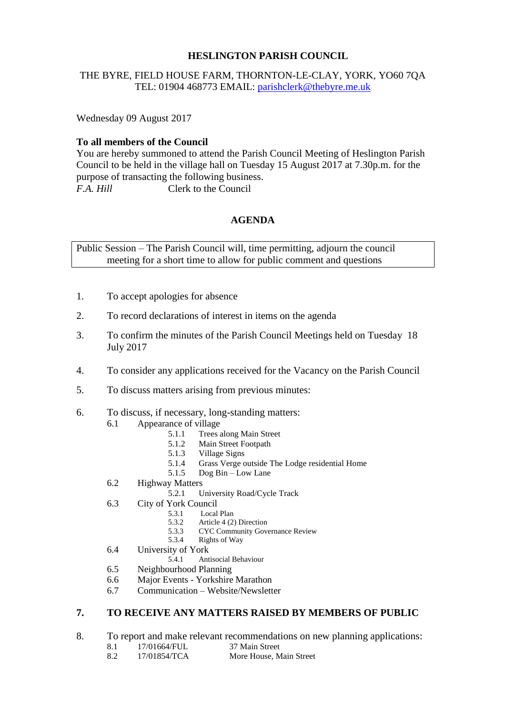#### **HESLINGTON PARISH COUNCIL**

#### THE BYRE, FIELD HOUSE FARM, THORNTON-LE-CLAY, YORK, YO60 7QA TEL: 01904 468773 EMAIL: [parishclerk@thebyre.me.uk](mailto:parishclerk@thebyre.me.uk)

Wednesday 09 August 2017

# **To all members of the Council**

You are hereby summoned to attend the Parish Council Meeting of Heslington Parish Council to be held in the village hall on Tuesday 15 August 2017 at 7.30p.m. for the purpose of transacting the following business. *F.A. Hill* Clerk to the Council

# **AGENDA**

Public Session – The Parish Council will, time permitting, adjourn the council meeting for a short time to allow for public comment and questions

- 1. To accept apologies for absence
- 2. To record declarations of interest in items on the agenda
- 3. To confirm the minutes of the Parish Council Meetings held on Tuesday 18 July 2017
- 4. To consider any applications received for the Vacancy on the Parish Council
- 5. To discuss matters arising from previous minutes:
- 6. To discuss, if necessary, long-standing matters:
	- 6.1 Appearance of village<br>5.1.1 Trees
		- Trees along Main Street
		- 5.1.2 Main Street Footpath<br>5.1.3 Village Signs
		- Village Signs
		- 5.1.4 Grass Verge outside The Lodge residential Home
		- 5.1.5 Dog Bin Low Lane
	- 6.2 Highway Matters
		- 5.2.1 University Road/Cycle Track
	- 6.3 City of York Council
		- 5.3.1 Local Plan
		- 5.3.2 Article 4 (2) Direction<br>5.3.3 CYC Community Gove
		- 5.3.3 CYC Community Governance Review
		- 5.3.4 Rights of Way
	- 6.4 University of York
		- 5.4.1 Antisocial Behaviour
	- 6.5 Neighbourhood Planning
	- 6.6 Major Events Yorkshire Marathon
	- 6.7 Communication Website/Newsletter

### **7. TO RECEIVE ANY MATTERS RAISED BY MEMBERS OF PUBLIC**

- 8. To report and make relevant recommendations on new planning applications:<br>8.1 17/01664/FUL 37 Main Street
	- $8.1$  17/01664/FUL
	- 8.2 17/01854/TCA More House, Main Street